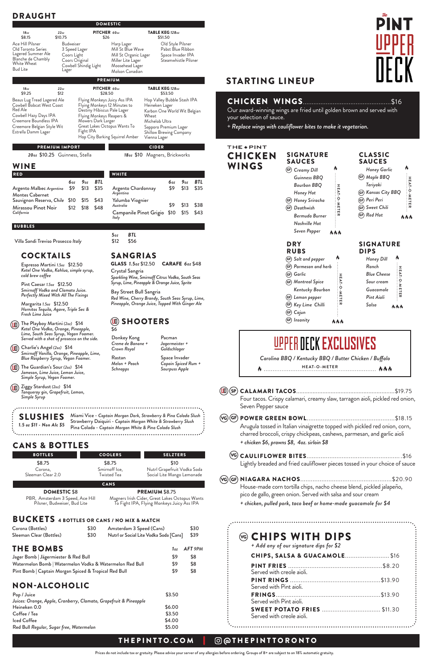## DRAUGHT

SIGNATURE SAUCES Ą *Creamy Dill* gf *Guinness BBQ Bourbon BBQ Honey Hot Honey Sriracha* gf *Deathwish* gf *Bermuda Burner Nashville Hot Seven Pepper* **AAA** 

*Carolina BBQ / Kentucky BBQ / Butter Chicken / Buffalo* **HEAT-O-METER**  $\boldsymbol{\theta}$  ................... 

## THE \* PINT **CHICKEN** WINGS

*Cajun*  gf GF) Insanity

| <b>BOTTLES</b>               | <b>COOLERS</b>               | <b>SELZTERS</b>                                           |
|------------------------------|------------------------------|-----------------------------------------------------------|
| \$8.75                       | \$8.75                       | \$10                                                      |
| Corona,<br>Sleeman Clear 2.0 | Smirnoff Ice,<br>Twisted Tea | Nutrl Grapefruit Vodka Soda<br>Social Lite Mango Lemonade |

CANS

#### DOMESTIC \$8 PBR, Amsterdam 3 Speed, Ace Hill Pilsner, Budweiser, Bud Lite

PREMIUM \$8.75 Magners Irish Cider, Great Lakes Octopus Wants To Fight IPA, Flying Monkeys Juicy Ass IPA

## CANS & BOTTLES

# STARTING LINEUP

# CHICKEN WINGS..................................................\$16

Our award-winning wings are fried until golden brown and served with your selection of sauce.

+ *Replace wings with cauliflower bites to make it vegetarian.*

| Honey Dill         |            |
|--------------------|------------|
| Ranch              |            |
| <b>Blue Cheese</b> |            |
| Sour cream         |            |
| Guacamole          |            |
| Pint Aioli         |            |
| Salsa              | <b>NNA</b> |

# **LIPPER DECK EXCLUSIVES**

### SIGNATURE DIPS

**HEAT-O-METER**

**HEAT-O-METER** 

### DRY RUBS

**HEAT-O-METER**

METER

かんん

HEAT-O-

٨

CLASSIC SAUCES

**HEAT-O-METER**

 $\bullet$  THAT-0-METH  $\bullet$ 

**NNN** 

## THEPINTTO.COM | @THEPINTTORONTO

Prices do not include tax or gratuity. Please advise your server of any allergies before ordering. Groups of 8+ are subject to an 18% automatic gratuity.

|                                                                                                                                                                                    |                                                                                                          |           |                          | <b>DOMESTIC</b>                                                                                                                                                                            |                                                                                                                                                                                     |         |                                                                                     |      |
|------------------------------------------------------------------------------------------------------------------------------------------------------------------------------------|----------------------------------------------------------------------------------------------------------|-----------|--------------------------|--------------------------------------------------------------------------------------------------------------------------------------------------------------------------------------------|-------------------------------------------------------------------------------------------------------------------------------------------------------------------------------------|---------|-------------------------------------------------------------------------------------|------|
| 18 <sub>oz</sub>                                                                                                                                                                   | 22oz                                                                                                     |           | PITCHER 600Z             |                                                                                                                                                                                            | TABLE KEG 128oz                                                                                                                                                                     |         |                                                                                     |      |
| \$8.15<br>Ace Hill Pilsner<br>Old Toronto Series<br>Lagered Summer Ale<br>Blanche de Chambly<br>White Wheat<br><b>Bud Lite</b>                                                     | \$10.75<br>Budweiser<br>3 Speed Lager<br>Coors Light<br>Coors Original<br>Cowbell Shindig Light<br>Lager |           | \$26                     | Harp Lager<br>Mill St Blue Wave<br>Mill St Organic Lager<br>Miller Lite Lager<br>Moosehead Lager<br>Molson Canadian                                                                        | \$51.50                                                                                                                                                                             |         | Old Style Pilsner<br>Pabst Blue Ribbon<br>Space Invader IPA<br>Steamwhistle Pilsner |      |
|                                                                                                                                                                                    |                                                                                                          |           |                          | <b>PREMIUM</b>                                                                                                                                                                             |                                                                                                                                                                                     |         |                                                                                     |      |
| 18 <sub>oz</sub><br>\$9.25                                                                                                                                                         | 22oz<br>\$12                                                                                             |           | PITCHER 60 <sub>0Z</sub> | \$28.50                                                                                                                                                                                    | TABLE KEG 128oz                                                                                                                                                                     | \$53.50 |                                                                                     |      |
| Beaus Lug Tread Lagered Ale<br><b>Cowbell Bobcat West Coast</b><br>Red Ale<br>Cowbell Hazy Days IPA<br>Creemore Boundless IPA<br>Creemore Belgian Style Wit<br>Estrella Damm Lager |                                                                                                          | Fight IPA | Mowers Dark Larger       | Flying Monkeys Juicy Ass IPA<br>Flying Monkeys 12 Minutes to<br>Destiny Hibiscus Pale Lager<br>Flying Monkeys Reapers &<br>Great Lakes Octopus Wants To<br>Hop City Barking Squirrel Amber | Hop Valley Bubble Stash IPA<br>Heineken Lager<br>Karbon One World Wit Belgian<br>Wheat<br>Michelob Ultra<br>Sapporo Premium Lager<br><b>Shillow Brewing Company</b><br>Vienna Lager |         |                                                                                     |      |
| <b>PREMIUM IMPORT</b>                                                                                                                                                              |                                                                                                          |           |                          |                                                                                                                                                                                            | <b>CIDER</b>                                                                                                                                                                        |         |                                                                                     |      |
| 20 <sub>0z</sub> \$10.25 Guinness, Stella                                                                                                                                          |                                                                                                          |           |                          |                                                                                                                                                                                            | 180z \$10 Magners, Brickworks                                                                                                                                                       |         |                                                                                     |      |
| WINE                                                                                                                                                                               |                                                                                                          |           |                          |                                                                                                                                                                                            |                                                                                                                                                                                     |         |                                                                                     |      |
| <b>RED</b>                                                                                                                                                                         |                                                                                                          |           |                          | <b>WHITE</b>                                                                                                                                                                               |                                                                                                                                                                                     |         |                                                                                     |      |
|                                                                                                                                                                                    | 6oz                                                                                                      | 9oz       | BTL                      |                                                                                                                                                                                            |                                                                                                                                                                                     | 6oz     | 9oz                                                                                 | BTL  |
| Argento Malbec Argentina<br><b>Montes Cabernet</b>                                                                                                                                 | \$9                                                                                                      | \$13      | \$35                     | Argento Chardonnay<br>Argentina                                                                                                                                                            |                                                                                                                                                                                     | \$9     | \$13                                                                                | \$35 |
| Sauvignon Reserva, Chile                                                                                                                                                           | \$10                                                                                                     | \$15      | \$43                     | Yalumba Viognier<br>Australia                                                                                                                                                              |                                                                                                                                                                                     | \$9     | \$13                                                                                | \$38 |
| Mirassou Pinot Noir<br>California                                                                                                                                                  | \$12                                                                                                     | \$18      | \$48                     | Italy                                                                                                                                                                                      | Campanile Pinot Grigio                                                                                                                                                              | \$10    | \$15                                                                                | \$43 |
| <b>BUBBLES</b>                                                                                                                                                                     |                                                                                                          |           |                          |                                                                                                                                                                                            |                                                                                                                                                                                     |         |                                                                                     |      |
| Villa Sandi Treviso Prosecco Italy                                                                                                                                                 |                                                                                                          |           |                          | 5 <sub>oz</sub><br>BTL<br>\$12<br>\$56                                                                                                                                                     |                                                                                                                                                                                     |         |                                                                                     |      |
| <b>COCKTAILS</b>                                                                                                                                                                   |                                                                                                          |           |                          | <b>SANGRIAS</b>                                                                                                                                                                            |                                                                                                                                                                                     |         |                                                                                     |      |
| Espresso Martini 1.5oz \$12.50<br>Ketel One Vodka, Kahlua, simple syrup,<br>cold brew coffee                                                                                       |                                                                                                          |           |                          | GLASS 1.5oz \$12.50<br>Crystal Sangria                                                                                                                                                     | Sparkling Wine, Smirnoff Citrus Vodka, South Seas                                                                                                                                   |         | CARAFE 6oz \$48                                                                     |      |
| Pint Caesar 1.5oz \$12.50<br>Smirnoff Vodka and Clamato Juice.<br>Perfectly Mixed With All The Fixings                                                                             |                                                                                                          |           |                          | Bay Street Bull Sangria                                                                                                                                                                    | Syrup, Lime, Pineapple & Orange Juice, Sprite                                                                                                                                       |         |                                                                                     |      |
| Margarita 1.5oz \$12.50<br>Hornitos Tequila, Agave, Triple Sec &<br>Fresh Lime Juice                                                                                               |                                                                                                          |           |                          |                                                                                                                                                                                            | Red Wine, Cherry Brandy, South Seas Syrup, Lime,<br>Pineapple, Orange Juice, Topped With Ginger Ale                                                                                 |         |                                                                                     |      |
| The Playboy Martini (20z) \$14<br>Ketel One Vodka, Orange, Pineapple,                                                                                                              |                                                                                                          |           |                          | UD)<br>\$6                                                                                                                                                                                 | <b>SHOOTERS</b>                                                                                                                                                                     |         |                                                                                     |      |

- 
- CALAMARI TACOS............................................................\$19.75 **ud** sp Four tacos. Crispy calamari, creamy slaw, tarragon aioli, pickled red onion, Seven Pepper sauce
- POWER GREEN BOWL..................................................\$18.15 vg gf Arugula tossed in Italian vinaigrette topped with pickled red onion, corn, charred broccoli, crispy chickpeas, cashews, parmesan, and garlic aioli
	- *+ chicken \$6, prawns \$8, 4oz. sirloin \$8*

| Corona (Bottles)                                                  | \$30 | Amsterdam 3 Speed (Cans)               |        | \$30    |
|-------------------------------------------------------------------|------|----------------------------------------|--------|---------|
| Sleeman Clear (Bottles)                                           | \$30 | Nutrl or Social Lite Vodka Soda [Cans] |        | \$39    |
| <b>THE BOMBS</b>                                                  |      |                                        | 1oz    | AFT 9PM |
| Jager Bomb   Jägermiester & Red Bull                              |      |                                        | \$9    | \$8     |
| Watermelon Bomb   Watermelon Vodka & Watermelon Red Bull          |      |                                        | \$9    | \$8     |
| Pint Bomb   Captain Morgan Spiced & Tropical Red Bull             |      |                                        | \$9    | \$8     |
| <b>NON-ALCOHOLIC</b>                                              |      |                                        |        |         |
| Pop / Juice                                                       |      |                                        | \$3.50 |         |
| Juices: Orange, Apple, Cranberry, Clamato, Grapefruit & Pineapple |      |                                        |        |         |
| Heineken 0.0                                                      |      |                                        | \$6.00 |         |
| Coffee / Tea                                                      |      |                                        | \$3.50 |         |
| <b>Iced Coffee</b>                                                |      |                                        | \$4.00 |         |
| Red Bull Regular, Sugar free, Watermelon                          |      |                                        | \$5.00 |         |

## *Salt and pepper*  gf *Parmesan and herb*  gf *Garlic*  gf *Montreal Spice*  gf *Kentucky Bourbon Lemon pepper*  gf

## *Key Lime Chilli*  gf

*Honey Garlic Maple BBQ* gf *Teriyaki Kansas City BBQ* gf

*Peri Peri* gf *Sweet Chili* gf

# *Red Hot* gf

| Lightly breaded and fried cauliflower pieces tossed in your choice of sauce |  |
|-----------------------------------------------------------------------------|--|

́vg)(GF) NIAGARA NACHOS………………………………………………\$20.90

House-made corn tortilla chips, nacho cheese blend, pickled jalapeño,

pico de gallo, green onion. Served with salsa and sour cream *+ chicken, pulled pork, taco beef or home-made guacamole for \$4*

| ⊗ CHIPS WITH DIPS<br>+ Add any of our signature dips for \$2    |  |
|-----------------------------------------------------------------|--|
| <b>CHIPS, SALSA &amp; GUACAMOLE \$16</b>                        |  |
| Served with creole aioli.                                       |  |
| Served with Pint aioli.                                         |  |
| Served with Pint aioli.                                         |  |
| <b>SWEET POTATO FRIES  \$11.30</b><br>Served with creole aioli. |  |

Miami Vice - *Captain Morgan Dark, Strawberry & Pina Colada Slush* SLUSHIES Strawberry Daiquiri - *Captain Morgan White & Strawberry Slush 1.5 oz \$11 - Non Alc \$5* Pina Colada - *Captain Morgan White & Pina Colada Slush* 

## BUCKETS 4 BOTTLES OR CANS / NO MIX & MATCH

*Ketel One Vodka, Orange, Pineapple, Lime, South Seas Syrup, Vegan Foamer. Served with a shot of prosecco on the side.*

Charlie's Angel *(2oz)* \$14 **ud** *Smirnoff Vanilla, Orange, Pineapple, Lime, Blue Raspberry Syrup, Vegan Foamer.*

The Guardian's Sour *(2oz)* \$14 **ud** *Jameson, Lime Juice, Lemon Juice, Simple Syrup, Vegan Foamer.*

Ziggy Stardust *(2oz)* \$14 **ud***Tanqueray gin, Grapefruit, Lemon, Simple Syrup*

*Melon + Peach Schnapps*

Donkey Kong *Creme de Banane + Crown Royal* Rastan Pacman *Jagermeister + Goldschlager* Space Invader

*Capain Spiced Rum + Sourpuss Apple*